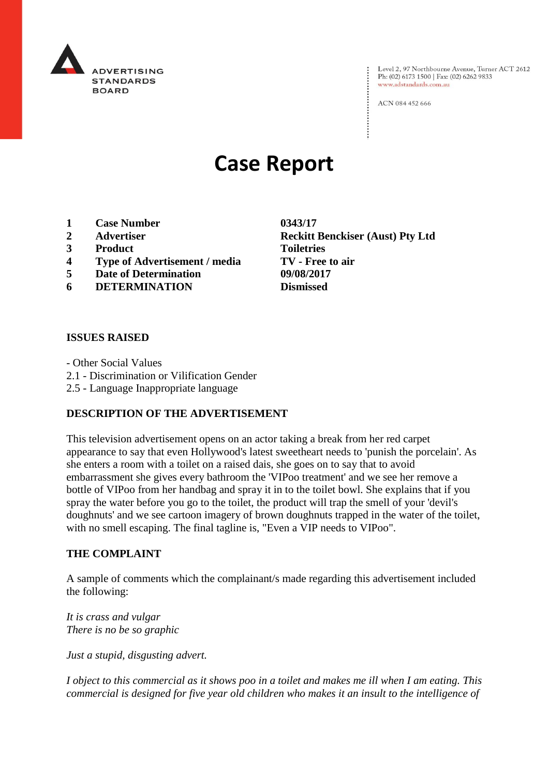

Level 2, 97 Northbourne Avenue, Turner ACT 2612 Ph: (02) 6173 1500 | Fax: (02) 6262 9833 www.adstandards.com.au

ACN 084 452 666

# **Case Report**

- **1 Case Number 0343/17**
- 
- **3 Product Toiletries**
- **4 Type of Advertisement / media TV - Free to air**
- **5 Date of Determination 09/08/2017**
- **6 DETERMINATION Dismissed**

## **ISSUES RAISED**

- Other Social Values

- 2.1 Discrimination or Vilification Gender
- 2.5 Language Inappropriate language

#### **DESCRIPTION OF THE ADVERTISEMENT**

This television advertisement opens on an actor taking a break from her red carpet appearance to say that even Hollywood's latest sweetheart needs to 'punish the porcelain'. As she enters a room with a toilet on a raised dais, she goes on to say that to avoid embarrassment she gives every bathroom the 'VIPoo treatment' and we see her remove a bottle of VIPoo from her handbag and spray it in to the toilet bowl. She explains that if you spray the water before you go to the toilet, the product will trap the smell of your 'devil's doughnuts' and we see cartoon imagery of brown doughnuts trapped in the water of the toilet, with no smell escaping. The final tagline is, "Even a VIP needs to VIPoo".

#### **THE COMPLAINT**

A sample of comments which the complainant/s made regarding this advertisement included the following:

*It is crass and vulgar There is no be so graphic*

*Just a stupid, disgusting advert.*

*I object to this commercial as it shows poo in a toilet and makes me ill when I am eating. This commercial is designed for five year old children who makes it an insult to the intelligence of* 

**2 Advertiser Reckitt Benckiser (Aust) Pty Ltd**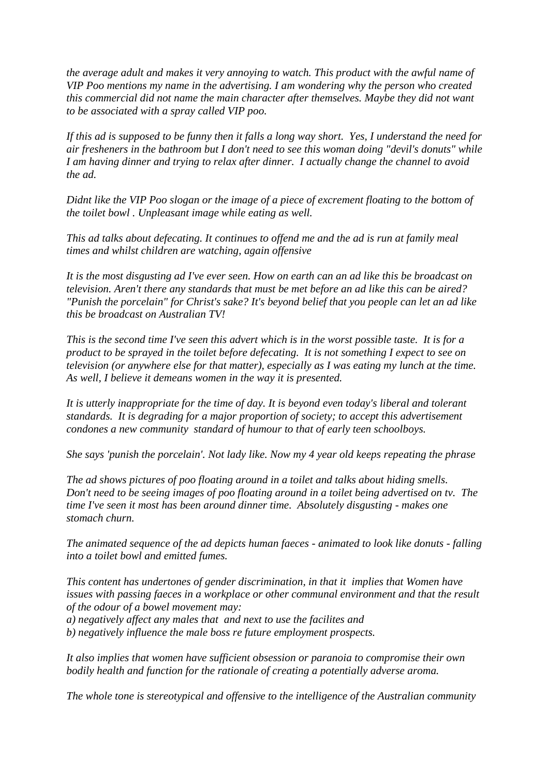*the average adult and makes it very annoying to watch. This product with the awful name of VIP Poo mentions my name in the advertising. I am wondering why the person who created this commercial did not name the main character after themselves. Maybe they did not want to be associated with a spray called VIP poo.*

*If this ad is supposed to be funny then it falls a long way short. Yes, I understand the need for air fresheners in the bathroom but I don't need to see this woman doing "devil's donuts" while I am having dinner and trying to relax after dinner. I actually change the channel to avoid the ad.*

*Didnt like the VIP Poo slogan or the image of a piece of excrement floating to the bottom of the toilet bowl . Unpleasant image while eating as well.*

*This ad talks about defecating. It continues to offend me and the ad is run at family meal times and whilst children are watching, again offensive*

*It is the most disgusting ad I've ever seen. How on earth can an ad like this be broadcast on television. Aren't there any standards that must be met before an ad like this can be aired? "Punish the porcelain" for Christ's sake? It's beyond belief that you people can let an ad like this be broadcast on Australian TV!*

*This is the second time I've seen this advert which is in the worst possible taste. It is for a product to be sprayed in the toilet before defecating. It is not something I expect to see on television (or anywhere else for that matter), especially as I was eating my lunch at the time. As well, I believe it demeans women in the way it is presented.*

*It is utterly inappropriate for the time of day. It is beyond even today's liberal and tolerant standards. It is degrading for a major proportion of society; to accept this advertisement condones a new community standard of humour to that of early teen schoolboys.*

*She says 'punish the porcelain'. Not lady like. Now my 4 year old keeps repeating the phrase*

*The ad shows pictures of poo floating around in a toilet and talks about hiding smells. Don't need to be seeing images of poo floating around in a toilet being advertised on tv. The time I've seen it most has been around dinner time. Absolutely disgusting - makes one stomach churn.*

*The animated sequence of the ad depicts human faeces - animated to look like donuts - falling into a toilet bowl and emitted fumes.*

*This content has undertones of gender discrimination, in that it implies that Women have issues with passing faeces in a workplace or other communal environment and that the result of the odour of a bowel movement may: a) negatively affect any males that and next to use the facilites and b) negatively influence the male boss re future employment prospects.*

*It also implies that women have sufficient obsession or paranoia to compromise their own bodily health and function for the rationale of creating a potentially adverse aroma.*

*The whole tone is stereotypical and offensive to the intelligence of the Australian community*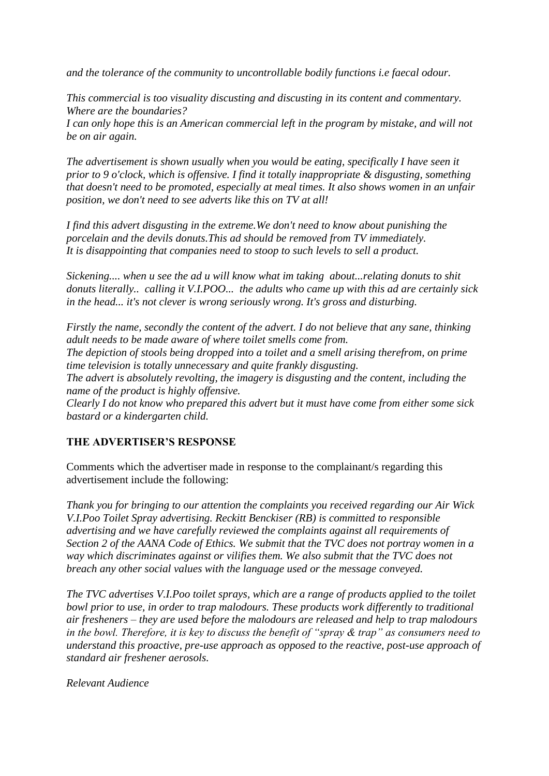*and the tolerance of the community to uncontrollable bodily functions i.e faecal odour.*

*This commercial is too visuality discusting and discusting in its content and commentary. Where are the boundaries?*

*I can only hope this is an American commercial left in the program by mistake, and will not be on air again.*

*The advertisement is shown usually when you would be eating, specifically I have seen it prior to 9 o'clock, which is offensive. I find it totally inappropriate & disgusting, something that doesn't need to be promoted, especially at meal times. It also shows women in an unfair position, we don't need to see adverts like this on TV at all!*

*I find this advert disgusting in the extreme.We don't need to know about punishing the porcelain and the devils donuts.This ad should be removed from TV immediately. It is disappointing that companies need to stoop to such levels to sell a product.*

*Sickening.... when u see the ad u will know what im taking about...relating donuts to shit donuts literally.. calling it V.I.POO... the adults who came up with this ad are certainly sick in the head... it's not clever is wrong seriously wrong. It's gross and disturbing.*

*Firstly the name, secondly the content of the advert. I do not believe that any sane, thinking adult needs to be made aware of where toilet smells come from.*

*The depiction of stools being dropped into a toilet and a smell arising therefrom, on prime time television is totally unnecessary and quite frankly disgusting.*

*The advert is absolutely revolting, the imagery is disgusting and the content, including the name of the product is highly offensive.*

*Clearly I do not know who prepared this advert but it must have come from either some sick bastard or a kindergarten child.*

#### **THE ADVERTISER'S RESPONSE**

Comments which the advertiser made in response to the complainant/s regarding this advertisement include the following:

*Thank you for bringing to our attention the complaints you received regarding our Air Wick V.I.Poo Toilet Spray advertising. Reckitt Benckiser (RB) is committed to responsible advertising and we have carefully reviewed the complaints against all requirements of Section 2 of the AANA Code of Ethics. We submit that the TVC does not portray women in a way which discriminates against or vilifies them. We also submit that the TVC does not breach any other social values with the language used or the message conveyed.*

*The TVC advertises V.I.Poo toilet sprays, which are a range of products applied to the toilet bowl prior to use, in order to trap malodours. These products work differently to traditional air fresheners – they are used before the malodours are released and help to trap malodours in the bowl. Therefore, it is key to discuss the benefit of "spray & trap" as consumers need to understand this proactive, pre-use approach as opposed to the reactive, post-use approach of standard air freshener aerosols.*

*Relevant Audience*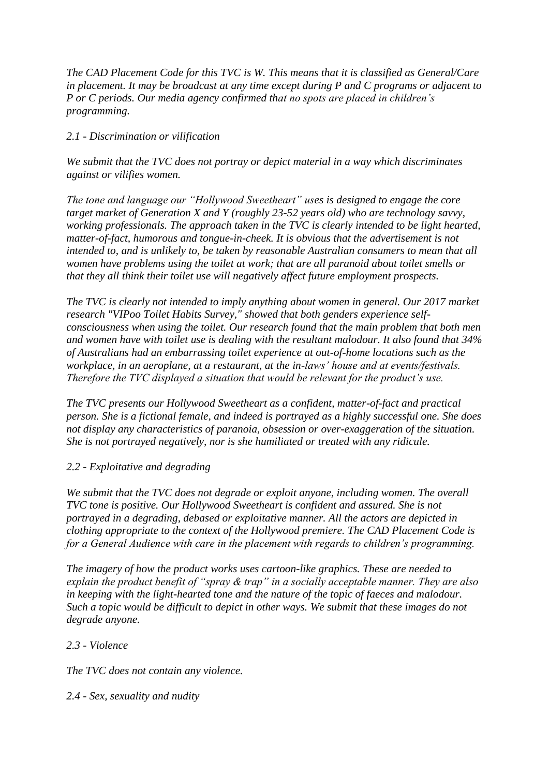*The CAD Placement Code for this TVC is W. This means that it is classified as General/Care in placement. It may be broadcast at any time except during P and C programs or adjacent to P or C periods. Our media agency confirmed that no spots are placed in children's programming.*

## *2.1 - Discrimination or vilification*

*We submit that the TVC does not portray or depict material in a way which discriminates against or vilifies women.*

*The tone and language our "Hollywood Sweetheart" uses is designed to engage the core target market of Generation X and Y (roughly 23-52 years old) who are technology savvy, working professionals. The approach taken in the TVC is clearly intended to be light hearted, matter-of-fact, humorous and tongue-in-cheek. It is obvious that the advertisement is not intended to, and is unlikely to, be taken by reasonable Australian consumers to mean that all women have problems using the toilet at work; that are all paranoid about toilet smells or that they all think their toilet use will negatively affect future employment prospects.*

*The TVC is clearly not intended to imply anything about women in general. Our 2017 market research "VIPoo Toilet Habits Survey," showed that both genders experience selfconsciousness when using the toilet. Our research found that the main problem that both men and women have with toilet use is dealing with the resultant malodour. It also found that 34% of Australians had an embarrassing toilet experience at out-of-home locations such as the workplace, in an aeroplane, at a restaurant, at the in-laws' house and at events/festivals. Therefore the TVC displayed a situation that would be relevant for the product's use.*

*The TVC presents our Hollywood Sweetheart as a confident, matter-of-fact and practical person. She is a fictional female, and indeed is portrayed as a highly successful one. She does not display any characteristics of paranoia, obsession or over-exaggeration of the situation. She is not portrayed negatively, nor is she humiliated or treated with any ridicule.*

## *2.2 - Exploitative and degrading*

*We submit that the TVC does not degrade or exploit anyone, including women. The overall TVC tone is positive. Our Hollywood Sweetheart is confident and assured. She is not portrayed in a degrading, debased or exploitative manner. All the actors are depicted in clothing appropriate to the context of the Hollywood premiere. The CAD Placement Code is for a General Audience with care in the placement with regards to children's programming.*

*The imagery of how the product works uses cartoon-like graphics. These are needed to explain the product benefit of "spray & trap" in a socially acceptable manner. They are also in keeping with the light-hearted tone and the nature of the topic of faeces and malodour. Such a topic would be difficult to depict in other ways. We submit that these images do not degrade anyone.*

## *2.3 - Violence*

*The TVC does not contain any violence.*

## *2.4 - Sex, sexuality and nudity*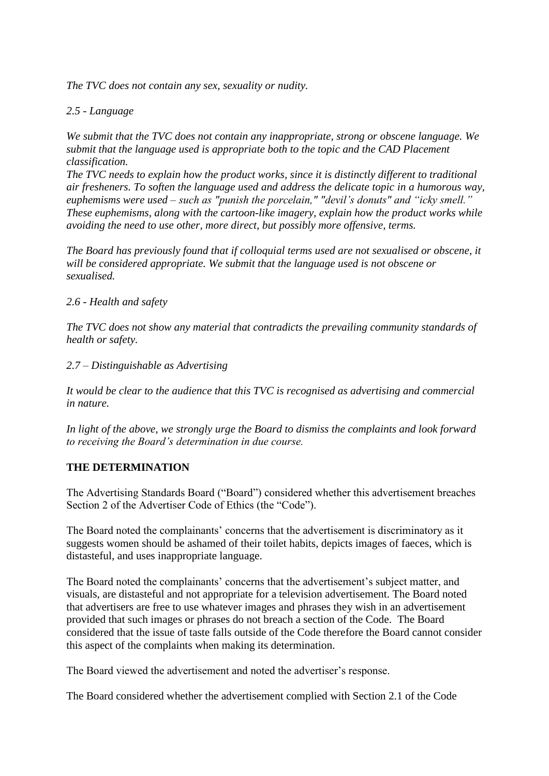*The TVC does not contain any sex, sexuality or nudity.*

### *2.5 - Language*

*We submit that the TVC does not contain any inappropriate, strong or obscene language. We submit that the language used is appropriate both to the topic and the CAD Placement classification.*

*The TVC needs to explain how the product works, since it is distinctly different to traditional air fresheners. To soften the language used and address the delicate topic in a humorous way, euphemisms were used – such as "punish the porcelain," "devil's donuts" and "icky smell." These euphemisms, along with the cartoon-like imagery, explain how the product works while avoiding the need to use other, more direct, but possibly more offensive, terms.*

*The Board has previously found that if colloquial terms used are not sexualised or obscene, it will be considered appropriate. We submit that the language used is not obscene or sexualised.*

#### *2.6 - Health and safety*

*The TVC does not show any material that contradicts the prevailing community standards of health or safety.*

*2.7 – Distinguishable as Advertising*

*It would be clear to the audience that this TVC is recognised as advertising and commercial in nature.*

*In light of the above, we strongly urge the Board to dismiss the complaints and look forward to receiving the Board's determination in due course.*

#### **THE DETERMINATION**

The Advertising Standards Board ("Board") considered whether this advertisement breaches Section 2 of the Advertiser Code of Ethics (the "Code").

The Board noted the complainants' concerns that the advertisement is discriminatory as it suggests women should be ashamed of their toilet habits, depicts images of faeces, which is distasteful, and uses inappropriate language.

The Board noted the complainants' concerns that the advertisement's subject matter, and visuals, are distasteful and not appropriate for a television advertisement. The Board noted that advertisers are free to use whatever images and phrases they wish in an advertisement provided that such images or phrases do not breach a section of the Code. The Board considered that the issue of taste falls outside of the Code therefore the Board cannot consider this aspect of the complaints when making its determination.

The Board viewed the advertisement and noted the advertiser's response.

The Board considered whether the advertisement complied with Section 2.1 of the Code